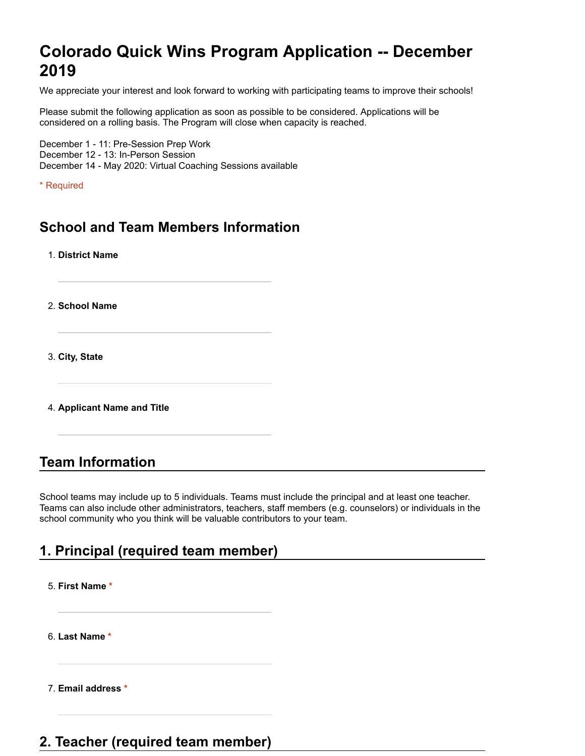# **Colorado Quick Wins Program Application -- December 2019**

We appreciate your interest and look forward to working with participating teams to improve their schools!

Please submit the following application as soon as possible to be considered. Applications will be considered on a rolling basis. The Program will close when capacity is reached.

December 1 - 11: Pre-Session Prep Work December 12 - 13: In-Person Session December 14 - May 2020: Virtual Coaching Sessions available

\* Required

### **School and Team Members Information**

1. **District Name**

2. **School Name**

3. **City, State**

4. **Applicant Name and Title**

#### **Team Information**

School teams may include up to 5 individuals. Teams must include the principal and at least one teacher. Teams can also include other administrators, teachers, staff members (e.g. counselors) or individuals in the school community who you think will be valuable contributors to your team.

# **1. Principal (required team member)**

5. **First Name \*** 6. **Last Name \***

7. **Email address \***

### **2. Teacher (required team member)**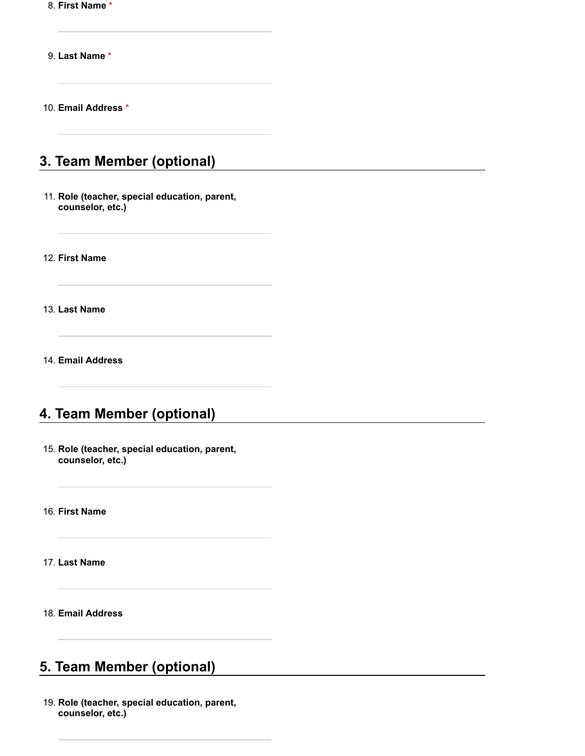8. **First Name \***

9. **Last Name \***

10. **Email Address \***

# **3. Team Member (optional)**

11. **Role (teacher, special education, parent, counselor, etc.)**

12. **First Name**

13. **Last Name**

14. **Email Address**

## **4. Team Member (optional)**

15. **Role (teacher, special education, parent, counselor, etc.)**

16. **First Name**

17. **Last Name**

18. **Email Address**

#### **5. Team Member (optional)**

19. **Role (teacher, special education, parent, counselor, etc.)**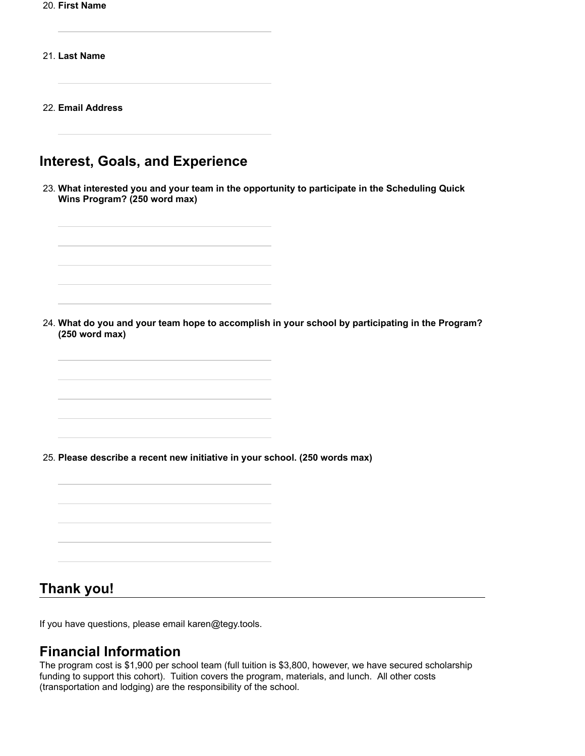20. **First Name**

21. **Last Name**

22. **Email Address**

# **Interest, Goals, and Experience**

23. **What interested you and your team in the opportunity to participate in the Scheduling Quick Wins Program? (250 word max)**

24. **What do you and your team hope to accomplish in your school by participating in the Program? (250 word max)**

25. **Please describe a recent new initiative in your school. (250 words max)**

#### **Thank you!**

If you have questions, please email karen@tegy.tools.

### **Financial Information**

The program cost is \$1,900 per school team (full tuition is \$3,800, however, we have secured scholarship funding to support this cohort). Tuition covers the program, materials, and lunch. All other costs (transportation and lodging) are the responsibility of the school.